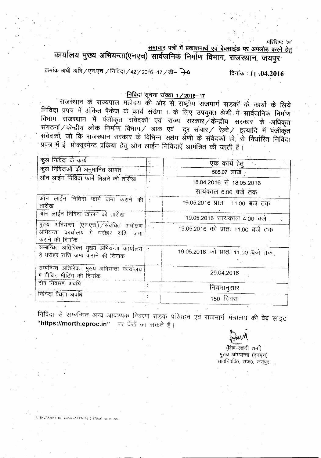$\mathbf{Q}$  . The set of the set of the set of the set of the set of the set of the set of the set of the set of the set of the set of the set of the set of the set of the set of the set of the set of the set of the set of t

समाचार पत्रों में प्रकाशनार्थ एवं बेवसाईड पर अपलोड करने हेतु **cplllYCillI <sup>~</sup>** ~(~...,~:q) **ttl({\JJPtci> PtstYUI ~, ~,** *\1IlI!!~'*

क्रमांक अधी अभि / एन.एच. / निविदा / 42 / 2016-17 / डी- 70 *~ : t* **I .04.2016**

## <u>निविदा सूचना संख्या 1/2016-17</u>

राजस्थान के राज्यपाल महोदय की ओर से राष्ट्रीय राजमार्ग सडकों के कार्यों के लिये निविदा प्रपत्र में अंकित पैकेज के कार्य संख्या 1 के लिए उपयुक्त श्रेणी में सार्वजनिक निर्माण rnपंपा प्रपत्र न आकृत पकज के कार्य संख्या 1 के लिए उपयुक्त श्रेणी में सार्वजनिक निर्मा<br>विभाग राजस्थान में पंजीकृत संवेदकों एवं राज्य सरकार केन्द्रीय सरकार के अधिक rand in the serve of the control of the control of the control of the control of the control of the control of <br>संगठनों / केन्द्रीय लोक निर्माण विभाग / डाक एवं दूर संचार / रेल्वे / इत्यादि में पंजीकृत : संवेदकों, जो कि राजस्थान सरकार के विभिन्न सक्षम श्रेणी के संवेदकों हो, से निर्धारित निविदा प्रपत्र में ई-प्रोक्यूरमेन्ट प्रकिया हेतु ऑन लाईन निविदाऐं आमंत्रित की जाती है।

| एक कार्य हेतु<br>कुल निविदाओं की अनुमानित लागत<br>585.07 लाख<br>ऑन लाईन निविदा फार्म मिलने की तारीख<br>18.04.2016 से 18.05.2016<br>सायंकाल 6.00 बजे तक<br>ऑन लाईन निविदा फार्म जमा कराने की<br>19.05.2016 प्रातः 11.00 बजे तक<br>तारीख<br>ऑन लाईन निविदा खोलने की तारीख<br>19.05.2016 सायकाल 4.00 बजे<br>मुख्य अभियन्ता (एन.एच.) / संबंधित अधीक्षण स<br>19.05.2016 को प्रातः 11.00 बजे तक<br>अभियन्ता कार्यालय में धरोहर राशि जमा<br>कराने की दिनांक<br>सम्बन्धित अतिरिक्त मुख्य अभियन्ता कार्यालय :<br>19.05.2016 को प्रातः 11.00 बजे तक<br>में धरोहर राशि जमा कराने की दिनांक |                     |  |
|---------------------------------------------------------------------------------------------------------------------------------------------------------------------------------------------------------------------------------------------------------------------------------------------------------------------------------------------------------------------------------------------------------------------------------------------------------------------------------------------------------------------------------------------------------------------------------|---------------------|--|
|                                                                                                                                                                                                                                                                                                                                                                                                                                                                                                                                                                                 | कुल निविदा के कार्य |  |
|                                                                                                                                                                                                                                                                                                                                                                                                                                                                                                                                                                                 |                     |  |
|                                                                                                                                                                                                                                                                                                                                                                                                                                                                                                                                                                                 |                     |  |
|                                                                                                                                                                                                                                                                                                                                                                                                                                                                                                                                                                                 |                     |  |
|                                                                                                                                                                                                                                                                                                                                                                                                                                                                                                                                                                                 |                     |  |
|                                                                                                                                                                                                                                                                                                                                                                                                                                                                                                                                                                                 |                     |  |
|                                                                                                                                                                                                                                                                                                                                                                                                                                                                                                                                                                                 |                     |  |
|                                                                                                                                                                                                                                                                                                                                                                                                                                                                                                                                                                                 |                     |  |
| सम्बन्धित अतिरिक्त मुख्य अभियन्ता कार्यालय<br>29.04,2016<br>में प्रीबिड मीटिंग की दिनांक                                                                                                                                                                                                                                                                                                                                                                                                                                                                                        |                     |  |
| दोष निवारण अवधि<br>नियमानुसार                                                                                                                                                                                                                                                                                                                                                                                                                                                                                                                                                   |                     |  |
| निविदा वैधता अवधि<br>150 दिवस                                                                                                                                                                                                                                                                                                                                                                                                                                                                                                                                                   |                     |  |

निविदा से सम्बन्धित अन्य आवश्यक विवरण सडक परिवहन एवं राजमार्ग मंत्रालय की वेब साइट "https://morth.eproc.in" पर देखें जा सकते हैं।

E-\SKVASHISTHA (H-comp)\NIT\NIT (16-17)\NIT-No ()1 doc

<u>an</u>

(शिव-लहरी शर्मा) मुख्य अभियन्ता (एनएच) सा0नि0वि0, राज0, जयपुर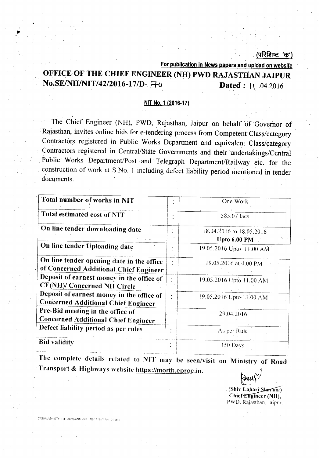## ापरिशिष्ट 'क')

For publication in News papers and upload on website

# OFFICE-OF THE CHIEF ENGINEER (NH) PWD RAJASTHAN JAIPUR  $\text{No.SE/NH/NT/42/2016-17/D-} \Rightarrow$  Dated: 1. 04.2016

#### NIT No.1 (2016·17)

The Chief Engineer (NH), PWD, Rajasthan, Jaipur on behalf of Governor of -Rajasthan, invites online bids for e-tendering process from Competent Class/category Contractors registered in Public Works Department and equivalent Class/category Contractors registered in Central/State Governments and their undertakings/Central Public Works Department/Post and Telegraph Department/Railway etc. for the construction of work at S.No. 1 including defect liability period mentioned in tender documents. -

| Total number of works in NIT                                                            |           | One Work                                        |
|-----------------------------------------------------------------------------------------|-----------|-------------------------------------------------|
| Total estimated cost of NIT                                                             |           | 585.07 Jacs                                     |
| On line tender downloading date                                                         |           | 18.04.2016 to 18.05.2016<br><b>Upto 6.00 PM</b> |
| On line tender Uploading date                                                           |           | 19.05.2016 Upto 11.00 AM                        |
| On line tender opening date in the office<br>of Concerned Additional Chief Engineer     |           | 19.05.2016 at 4.00 PM                           |
| Deposit of earnest money in the office of<br><b>CE(NH)/ Concerned NH Circle</b>         | $\bullet$ | 19.05.2016 Upto 11.00 AM                        |
| Deposit of earnest money in the office of<br><b>Concerned Additional Chief Engineer</b> | ٠         | 19.05.2016 Upto 11.00 AM                        |
| Pre-Bid meeting in the office of<br><b>Concerned Additional Chief Engineer</b>          |           | 29.04.2016                                      |
| Defect liability period as per rules                                                    |           | As per Rule                                     |
| <b>Bid validity</b>                                                                     |           | 150 Days                                        |

The complete details related to NIT may be seen/visit on Ministry of Road Transport & Highways website https://morth.eproc.in.

 $\triangleright$ ully (Shiv Lahari Sharma)

Chief Engineer (NH), PWD\_ Rajasthan, Jaipur.

ENSKVASHISTHA (H-comp)(NIT)(NIT)(16-17)(NIT) No. 21 doc

..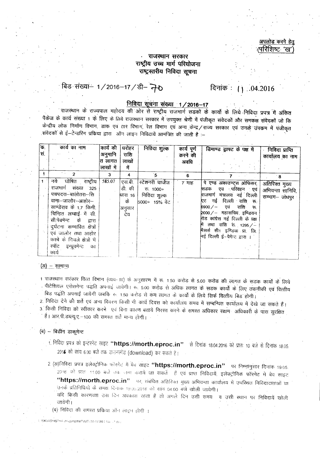#### अपलोड करने हेतू (परिशिष्ट<sup>,</sup> 'ख'

#### राजस्थान सरकार राष्ट्रीय उच्च मार्ग परियोजना राष्ट्रस्तरीय निविदा सूचना

# **बिड संख्या– 1/2016–17/डी– ने 0** दिनांक : 11 .04.2016

# ~m~ '1/2016-17 '. .

.~ \* ,<1\J'1I41C'1 ~Tc:--lI qft. 3lN <sup>~</sup> <sup>~</sup> -xJ\Jfl-fT7t <sup>~</sup> \* Cf>TlIT \* ~.~ >I1i?r 'if 3ifcl;o पैकेज के कार्य संख्या 1 के लिए के लिये राजस्थान सरकार में उपयुक्त श्रेणी में पंजीकृत संवेदकों और समकक्ष संवेदकों जो कि केन्द्रीय लोक निर्माण विभाग, डाक एवं तार विभाग, रेल विभाग एवं अन्य केन्द्र / राज्य सरकार एवं उनके उपकम में पंजीकृत . संवेदकों से ई--टेन्डरिंग प्रकिया द्वारा) ऑन लाइन निविदायें आमंत्रित की जाती है :--

| क. |                              |           |         |                  |             |                                |                  |
|----|------------------------------|-----------|---------|------------------|-------------|--------------------------------|------------------|
|    | कार्य का नाम                 | कार्य की  | धरोहरं  | निविदा शुल्क     | कार्य पूर्ण | डिमाण्ड ड्राफ्ट के पक्ष में    | निविदा प्राप्ति  |
| सं |                              | अनुमानि   | राशि    |                  | करने की     |                                | कार्यालय का नाम  |
|    |                              | त लागत    | लाखों   |                  | अवधि        |                                |                  |
|    |                              | लाखों में | में     |                  |             |                                |                  |
|    | $\overline{2}$               | 3         | 4       | `5               | 6           |                                | ∸8               |
|    | नये घोषित राष्ट्रीय          | 585.07    | एस.बी.  | स्टेशनरी चार्जेज | 7 माह       | पे एण्ड अकाउण्ट्स ओफिसर        |                  |
|    | राजमार्ग संख्या 325          |           | डी. की  |                  |             |                                | अतिरिक्त मुख्य   |
|    |                              |           |         | ক. 1000+         |             | एव परिवहन एवं<br>सडक           | अभियन्ता सानिवि, |
|    | पचपदरा—बालोतरा—सि            |           | धारा 16 | निविंदा शुल्क    |             | राजमार्ग मंत्रालय नई दिल्ली    | सम्भाग- जोधपुर   |
|    | वाना-जालोर-आहोर-             |           | के      | 5000+ 15% वेट    |             | एट नई दिल्ली राशि रू           |                  |
|    | साण्डेराव के 1.7 किमी.       |           | अनुसार  |                  |             | राशि रू<br>एवं<br>6900 ⁄ —     |                  |
|    | चिन्हित लम्बाई में सी.       |           | देय     |                  |             | 2000 / — महासचिव, इण्डियन      |                  |
|    | सी.पेबमेन्ट के द्वारा        |           |         |                  |             | रोड कांग्रेस नई दिल्ली के पक्ष |                  |
|    | दुर्घटना सम्भावित क्षेत्रों  |           |         |                  |             | में तथा राशि रू 1295 /-        |                  |
|    |                              |           |         |                  |             | मैसर्स सी1 इण्डिया प्रा लि.    |                  |
|    | एवं जालोर तथा आहोर           |           |         |                  |             | नई दिल्ली ई-पेमेन्ट द्वारा । ' |                  |
|    | कस्बे के निचले क्षेत्रों में |           |         |                  |             |                                |                  |
|    | र्स्पॉट इम्प्रूवमेन्ट का     |           |         |                  |             |                                |                  |
|    | कार्य                        |           |         |                  |             |                                |                  |
|    |                              |           |         |                  |             |                                |                  |

#### (अ) – सामान्य

- 1 राजस्थान सरकार वित्त विभाग (व्यय-नाा) के अनुसारण में रू. 1.50 करोड़ से 5.00 करोड़ की लागत के सडक कार्यो के लिये . पीटेशियल एसेसमेन्ट पद्धति अपनाई जावेगी। रू. 5.00 करोड से अधिक लागत के सडक कार्यों के लिए तकनीकी एवं वित्तीय बिड पद्धति अपनाई जावेगी जबकि रू. 1.50 करोड से कम लागत के कार्यों के लिये सिर्फ वित्तीय बिड होगी।
- 2. निविदा देने की शर्ते एवं अन्य विवरण किसी भी कार्य दिवस को कार्यालय समय में सम्बन्धित कार्यालय में देखे जा सकते हैं। 3. किसी निविदा को स्वीकार करने एवं बिना कारण बताये निरस्त करने के समस्त अधिका<mark>र सक्षम अधिकारी के पा</mark>स सुरक्षित
	- हैं। आर.पी.डब्ल्यू.ए.-100 की समस्त शर्ते मान्य होगी।

#### (ब) - बिडींग डाकूमेन्ट

- 1. निविदा प्रपत्र को इन्टरनेट साइट **"https://morth.eproc.in"** ~ से दिनांक 18.04.2016 को प्रातः 10 बजे से दिनांक 18.05. 201**6** को सांय 6.00 बजे तक डाउनलोड (download) कर सकते हैं।
- 2. (अ)निविदा प्रपत्र इलेक्ट्रोनिक फॉरगेट में बेव साइट "https://morth.eproc.in" पर निम्नानुसार दिनांक 19.05. 2016 को प्रातः 11.00 बजे तक जमा कराये जा सकतें हैं एवं प्राप्त निविदायें, इलेक्ट्रोनिक फॉरमेट में बेव साइट "https://morth.eproc.in" पर, संबंधित अतिरिक्त मुख्य अभियन्ता कार्यालय में उपस्थित निविदादाताओं या उनके प्रतिनिधियों के समक्ष दिनाक 19.05.2016 को सांय 04.00 बजे खोली जायेगी। .<br>यदि किसी कारणवश उस दिन अवकाश रहता है तो अगले दिन उसी समय -व उसी स्थान पर निविदायें खोली
	- जायेगी।
	- (ब) निविदा की समस्त प्रक्रिया ऑन लाइन होगी ।

SKVASHISTHA (H-compaNIT\NIT (16-17)WIT No. J\* doc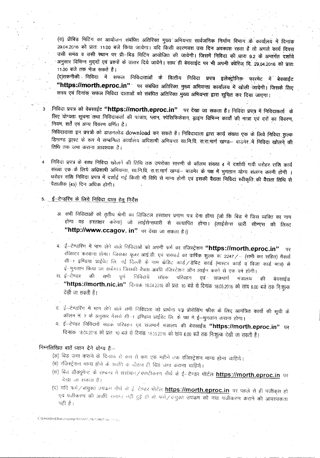(स) प्रीबिड मिटिंग का आयोजन संबंधित अतिरिक्त मुख्य अभियन्ता सार्वजनिक निर्माण विभाग के कार्यालय में दिनांक 29.04.2016 को प्रातः 11.00 बजे किया जायेगा। यदि किसी कारणवश उस दिन अवकाश रहता है तो अगले कार्य दिवस .<br>उसी समय व उसी स्थान पर प्री-बिड मिटिंग आयोजित की जावेगी। जिसमें निविदा की धारा 9.2 के अन्तर्गत दर्शाये उत्ता तनव व उत्ता स्थान पर प्रान्नाबंड मिटिंग आयोजित का जीवंगा। जिसम निर्विदा की धारी 9.2 के अन्तर्गत दर्शाये<br>अनुसार विभिन्न मुद्दों एवं प्रश्नों के उत्तर दिये जावेंगे। साथ ही बेवसाईट पर भी अपनी क्वेरिज दि. 29.04.2016 को जनुसार विनि<sup>51</sup> पुरुष ९५ प्रश्ना के उत्तर दिये जावने। साथ ही बेवसाइट पर भी अपनी क्वेरिज दि. 29.04.2016 र<br>11.00 बजे तक भेज सकते हैं।

(द)तकनीकी निविदा में सफल निविदाताओं के वित्तीय निविदा प्रपत्र इलेक्ट्रोनिक फारमेट में बेवसाईट "https://morth.eproc.in" पर संबंधित अतिरिक्त मुख्य अभियन्ता कार्यालय में खोली जायेगी। जिसके लिए समय एवं दिनांक सफल निविदा दाताओं को संबंधित अतिरिक्त मुख्य अभियन्ता द्वारा सूचित कर दिया जाएगा।

- 3 निविदा प्रपत्र को वेबसाईट **"https://morth.eproc.in"** पर देखा जा सकता है। निविदा प्रपत्र में निविदाकर्ता के लिए योग्यता सूचना तथा निविदाकर्ता की पात्रता, प्लान, स्पेसिफिकेशन, ड्राइंग विभिन्न कार्यों की मात्रा एवं दरों का विवरण, नियम, शर्तें एवं अन्य विवरण वर्णित है।
	- , PfRl<:I<:ldl <sup>~</sup> Wl?IT. *em ~~* **download** 'Cl'R <sup>~</sup> *t* **<sup>I</sup> Pffc1GIGldl &m <sup>~</sup> <sup>~</sup> <sup>~</sup>** cf; <sup>~</sup> f.!lfctGT,~ डिमाण्ड ड्राफ्ट के रूप में सम्बन्धित कार्यालय अधिशाषी अभियन्ता सा.नि.वि. रा.रा.मार्ग खण्ड— बाडमेर में निविदा खोलने की<br>तिथि तक जमा कराना आवश्यक है।
	- निविदा प्रपत्र के साथ निविदा खोलने की तिथि तक उपरोक्त सारणी के कॉलम संख्या 4 में दर्शायी गयी धरोहर राशि कार्य संख्या एक के लिये अधिशाषी अभियन्ता, सा.नि.वि. रा.रा.मार्ग खण्ड— बाडमेर के पक्ष में भुगतान योग्य संलग्न करनी होगी धरहिर सीश निर्विदा प्रपत्र में दर्शाई गई किसी भी विधि से मान्य होगी एवं इसकी वैद्यता निविदा स्वीकृति की वैद्यता तिथि से पैतालीस (45) दिन अधिक होगी।

#### 5. <u>ई-टेन्डरिंग के लिये</u> निविदा दाता हेतु निर्देश

- 31. सभी निविदाओं को तृतीय श्रेणी का डिजिटल हस्ताक्षर प्रमाण पत्र देना होगा (जो कि बिड में जिस व्यक्ति का नाम ·होगा वह हस्ताक्षर करेगा) जो लाईसेन्सघारी से सत्यापित होगा। (लाईसेन्स ध़ारी सीण्एस की लिस्ट "http://www.ccagov. in" पर देखा जा सकता है।)
- ब. ई-टेण्डरिंग में भाग लेने वाले निविदाओं को अपनी फर्म का रजिस्ट्रेशन **"https://morth.eproc.in"** रजिस्टर करवाना होगा। जिसका यूजर आई.डी. एवं पासवर्ड का वार्षिक शुल्क रू. 2247/- (सभी कर सहित) मैसर्स सी-1 इण्डिया प्राईवेट लि. नई दिल्ली के नाम केडिट कार्ड /डेबिट कार्ड (मास्टर कार्ड व विजा कार्ड मात्र) से ई--भुगतान किया जा सकेगा। जिसकी वैधता अवधि रजिस्टेशन ऑन लाईन करने से एक वर्ष होंगी।
- स. ई-टेण्डर की सभी पूर्ण निविदायें सडक परिवहन एवं राजमार्ग मंत्रालय की बेवसाईंड **"https://morth.nic.in"** दिनांक 18.04.2016 को प्रातः 10 बजे से दिनांक 18.05.2016 को सांय 6.00 बजे तक निःशुत्व<br>देखी जा सकती हैं।
- .<br>द. ई—टेण्डरिंग में भाग लेने वाले सभी निविदाता को प्रार्थना पत्न प्रोसेसिंग <mark>फीस के लिए आमंत्रित कार्यों की सूची के</mark> कॉलम नं. 7 के अनुसार मैसर्स सी-1 इण्डिया प्राईवेट लि. के पक्ष मे ईं-भुगतान कराना होगा।
- य, ई—टेण्डर निविदायें सडक परिवहन एवं राजमार्ग मंत्रालय की बेक्साईड **"https://morth.eproc.in"** पर -दिनांक 18.04.2016 को प्रातः 10 बजे से दिनांक 18.05.2016 को सांय 6.00 बजे तक निःशुल्क देखी जा सकती हैं।

#### निम्नलिखित बातें ध्यान देने योग्य है:--

- (अ) बिड जमा कराने के दिनांक से कम से कम एक महीने तक रजिस्ट्रेशन मान्य होना चाहिये।
- (ब) रजिस्ट्रेशन मान्य होने के अवधि के दौरान ही बिड़ जमा कराना चाहिये।
- (स) बिरु डौक्यूमेन्ट के सम्बन्ध में संशोधन / रपष्टीकरण गौर्थ के ई—टेण्डर पोर्टल <u>https://morth.eproc.in</u> पर<br>| देखा जा सकता है।
- (द) यदि फर्म / संयुक्त उपक्रम मौर्थ के ई टेण्डर पोर्टल https://morth.eproc.in पर पहले से ही पंजीकृत हो एव पंजीकरण की अवधि समाप्त नहीं हुई हो तो फर्म⁄ संयुक्त उपकम को नया पंजीकरण कराने की आवश्यकता<br>नहीं है। नहीं है।

.<br>\ISKVASHISTHA (H-comp<sup>i</sup>NIT\NIT (16-17)\NIT Ne (21 do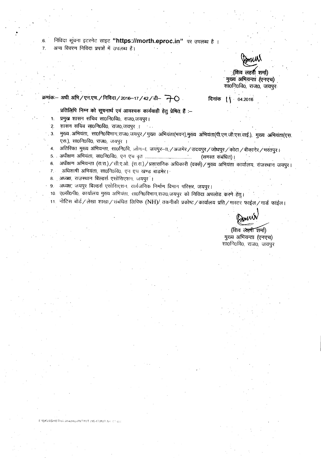निविदा सूचना इटरनेट साइट "https://morth.eproc.in" पर उपलब्ध है ।

अन्य विवरण निविदा प्रपन्नों में उपलब्ध हैं।

.(शिव लहरी शमा) मुख्य अभियन्ता (एनएच) सा0नि0वि0, राज0, जयपुर

दिनांक  $\sqrt{ }$  04.2016

प्रतिलिपि निम्न को सूचनार्थ एवं आवश्यक कार्यवाही हेतु प्रेषित हैं :-

1. प्रमुख शासन सचिव सा0नि0वि0, राज0,जयपूर।

क्रमांकः— अधी अमि / एन.एच. / निविदा / 2016—17 / 42 / डी— नि- $\bigcirc$ 

2. शासन सचिव सा0नि0वि0, राज0,जयपूर | ...

3. मुख्य अभियंता, सा0नि0विभाग राज0 जयपुर / मुख्य अभियंता(भवन),मुख्य अभियंता(पी.एम.जी.एस.वाई.), मुख्य अभियंता(एस. एस.), सा0नि0वि0, राज0, जयपुर ।

4. जतिरिक्त मुख्य अभियन्ता, सा0नि0वि, जोन—ा, जयपुर—ा, /अजमेर / उदयपुर / जोधपुर / कोटा / बीकानेर / भरतपुर ।

5.. 3Ilftafl1T~. wo~ofcto. 1;!'1 ~cj ';10 :... (wrm ~) I. . . .

6. अधीक्षण अभियन्ता (रा.रा.) / सी.ए.ओ. (रा.रा.) / प्रशासनिक अधिकारी (वर्क्स) / मुख्य अभियंता कार्यालय, राजस्थान जयपुर। 7. अधिशाषी अभियंता, सा0नि0वि0, एन एच खण्ड बाडमेर।

8. . अध्यक्ष, राजस्थान बिल्डर्स एसोसिएशन, जयपूर<sup>ं</sup>।

9. अध्यक्ष, जयपुर बिल्डर्स एसोसिएशन, सार्वजनिक निर्माण विभाग परिसर, जयपुर।

10. ए0सी0पी0, कार्यालय मुख्य अभियंता, सा0नि0विभाग,राज0,जयपुर को निविदा अपलोड करने हेतु।

11. नोटिस बोर्ड / लेखा शाखा / संबंधित लिपिक (NH)/ तकनीकी प्रकोष्ट / कार्यालय प्रति / मास्टर फाईल / गार्ड फाईल।

(शिव लेहरी शर्मा) मुख्य अभियन्ता (एनएच) सा0नि0वि0, राज0, जयपुर

.~

**ISKVASHISTHA (H-comp)INITINIT (16-17)INIT No CT do**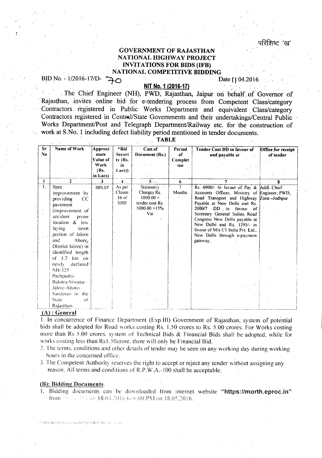#### GOVERNMENT OF RAJASTHAN NATIONAL HIGHWAY PROJECT INyrrA TIONS FOR BIDS (IFB) NATIONAL COMPETITIVE BIDDING

BID No. - 1/2016-17/D- ~ O

### NIT No. 1 (2016-17)

. The Chief Engineer (NH), PWD, Rajasthan, Jaipur on behalf of Governor of Rajasthan, invites online bid for e-tendering process from Competent Class/category Contractors registered in Public Works Department and equivalent Class/category Contractors registered in Central/State Governments and their undertakings/Central Pubiic Works Department/Post and Telegraph Department/Railway etc. for the construction of work at S.No. 1 including defect liability period mentioned in tender documents.

TABLE

| Sr.<br>No. | Name of Work                                                                                                                                                                                                                                                                                                                                                                                       | Approxi<br>mate<br>Value of<br>Work<br>(Rs.<br>in Lacs) | *Bid<br>Securi<br>tv (Rs.<br>in<br>Lacs)  | Cost of<br>Document (Rs.)                                                              | Period<br>of<br>Complet.<br>ion | Tender Cost DD in favour of<br>and payable at                                                                                                                                                                                                                                                                                                                                 | Office for receipt<br>of tender |
|------------|----------------------------------------------------------------------------------------------------------------------------------------------------------------------------------------------------------------------------------------------------------------------------------------------------------------------------------------------------------------------------------------------------|---------------------------------------------------------|-------------------------------------------|----------------------------------------------------------------------------------------|---------------------------------|-------------------------------------------------------------------------------------------------------------------------------------------------------------------------------------------------------------------------------------------------------------------------------------------------------------------------------------------------------------------------------|---------------------------------|
|            | $\overline{2}$                                                                                                                                                                                                                                                                                                                                                                                     | $\mathbf{3}$                                            | 4                                         | $5 -$                                                                                  | 6                               |                                                                                                                                                                                                                                                                                                                                                                               |                                 |
|            | Spot<br>improvement by<br>providing<br><sub>CC</sub><br>pavement <sup>1</sup><br>(improvement of<br>accident<br>prone<br>location & low<br>laving<br>town<br>portion of Jalore<br>and<br>Ahore,<br>District Jalore) in<br>identified length<br>of 1.7 km on<br>declared <sup>®</sup><br>'newly<br>NH-325<br>Pachpadra-<br>Balotra-Siwana-<br>Jalore-Ahore-<br>Sanderao in the<br>State<br>$\alpha$ | 585.07                                                  | As per<br>Clause<br>$16$ of<br><b>SBD</b> | Stationery<br>Charges Rs.<br>$1000.00 +$<br>tender cost Rs.<br>$5000.00 + 15\%$<br>Vat | 7<br>Months                     | Rs. 6900/- In favour of Pay & Addl. Chief<br>Accounts Officer, Ministry of Engineer, PWD,<br>Road Transport and Highway Zone-Jodhpur<br>Payable at New Delhi and Rs.<br>2000/7 DD in favour of<br>Secretary General Indián Road<br>Congress New Delhi payable at<br>New Delhi and Rs. 1295/- in<br>favour of M/s C1 India Pvt. Ltd<br>New Delhi through e-payment<br>gateway. |                                 |
|            | Rajasthan.                                                                                                                                                                                                                                                                                                                                                                                         |                                                         |                                           |                                                                                        |                                 |                                                                                                                                                                                                                                                                                                                                                                               |                                 |

#### (A) : General

I. In concurrence of Finance Department (Exp.lll) Government of Rajasthan. system of potential bids shall be adopted for Road works costing Rs. 1.50 crores to Rs. 5.00 crores. For Works costing more than Rs 5.00 crores. system of Technical Bids & Financial Bids shall be adopted, while for works costing less than Rs1.50crore. there will only be Financial Bid.

2; The terms. conditions and other details of tender may be seen on any working day during working hours in the concerned office.

3. The Competent Authority reserves the right to accept or reject any tender without assigning any reason. All terms and conditions of R.P.W.A.-100 shall be acceptable.

#### (B): Bidding Documents.

1. Bidding documents can be downloaded from internet website "https://morth.eproc.in" from 10.09 NAT on 18.04.2016 to 6:00 PM on 18.05.2016.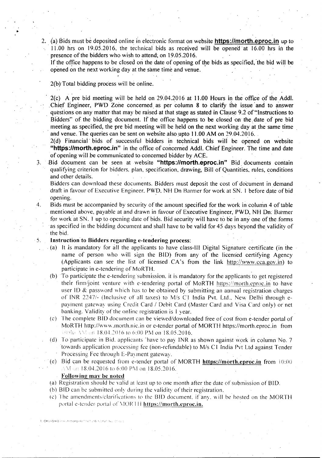2. (a) Bids must be deposited online in electronic format on website **https://morth.eproc.in** up to . 11.00 hrs on 19.05.2016, the technical bids as received will be opened 'at 16.00 hrs in the presence of the bidders who wish to attend; on 19.05.2016.

If the office happens to be closed on the date of opening of the bids as specified, the bid will be opened on the next working day at the same time and venue.

#### 2(b)Total bidding process will be online.

•

 $2(c)$  A pre bid meeting will be held on 29.04.2016 at 11.00 Hours in the office of the Addl. Chief Engineer, PWD Zone concerned as per column 8 to clarify the issue and to answer questions on any matter that may be raised at that stage as stated in Clause 9.2 of "Instructions to Bidders" of the bidding document. If the office happens to be closed on the date of pre bid meeting as specified, the pre bid meeting will be held on the next working day at the same time and venue. The queries can be sent on website also upto 11.00 AM on 29.04.2016.

2(d) Financial' bids of successful bidders in technical bids will be opened on website "https://morth.eproc.in" in the office of concerned Addl. Chief Engineer. The time and date of opening will be communicated to concerned bidder by ACE.

3. Bid document can be seen at website "https://morth.eproc.in" Bid documents contain qualifying criterion for bidders. plan, specification, drawing, Bill of Quantities, rules, conditions and other details.

Bidders can download these documents. Bidders must deposit the cost of document in demand draft in favour of Executive Engineer. PWp. NH On Harmer for work at SN. I before date of bid opening.

4. Bids must be accompanied by security of the amount specified for the work incolumn 4 of table mentioned above, payable at and drawn in favour of Executive Engineer, PWD, NH On: Banner for work at SN. 1 up to opening date of bids. Bid security will have to be in any one of the forms as specified in the bidding document and shall have to be valid for 45 days beyond the validity of the bid.

#### 5. Instruction to Bidders regarding e-tendering process:

- . (a) It *is* mandatory for all the applicants to have class-Ill Digital Signature certificate (in the name of person who will sign the BID) from any of the licensed certifying Agency (Applicants can see the list of licensed CA's from the link http://www.cca.gov.in) to participate in e-tendering of MaRTH.
- (b) To participate the e-tendering submission, it is mandatory for the applicants to get registered their firm/joint venture with e-tendering portal of MoRTH https://morth.eproc.in to have user ID & password which has to be obtained by submitting an annual registration charges of INR 2247/- (Inclusive of all taxes) to M/s C1 India Pvt. Ltd., New Delhi through epayment gateway using Credit Card *I* Debit Card (Master Card and Visa Card only) or net banking. Validity of the online registration is <sup>1</sup> year.
- (c) The complete BID document can be viewed/downloaded free of cost from e-tender portal of MoRTH http://www.morth.nic.in or e-tender portal of MORTH https://morth.eproc.in from 10:00 AM on 18.04.2016 to 6:00 PM on 18.05.2016.
- (d) To 'participate in Bid. applicants 'have to pay INR as shown against work in column No.7 towards application processing fee (non-refundable) to *Mis* C I India Pvt Ltd against Tender Processing Fee through E-Payment gateway.
- (e) Bid can be requested from e-tender portal of MORTH **https://morth.eproc.in** from  $10:00$  $\land$  M on 18.04.2016 to 6:00 PM on 18.05.2016.

#### Following may be noted

ASKMASHIS DEALER complete? Wat L16, 12:000 F.N.L. (11)

- (a) Registration should be valid at least up to one month after the date of submission of BID.
- (b) BID can be submitted only during the validity of their registration.
- (e) The amendments.clarifications to the BID document. if any. will be hosted on the MORTH portal e-tender portal of MORTH https://morth.eproc.in.